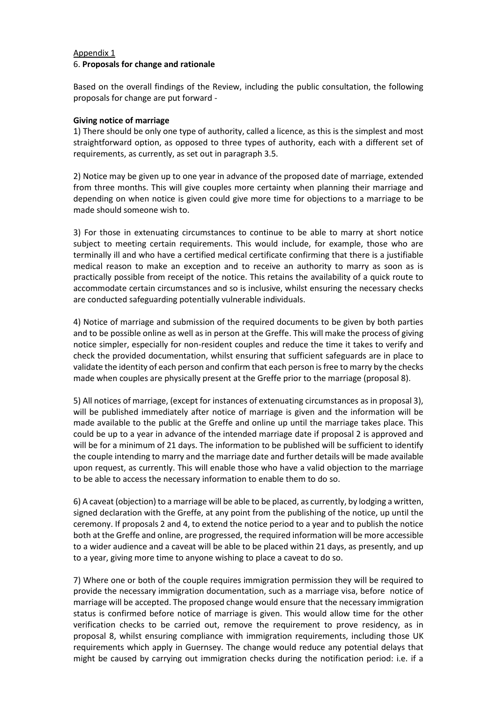#### Appendix 1 6. **Proposals for change and rationale**

Based on the overall findings of the Review, including the public consultation, the following proposals for change are put forward -

# **Giving notice of marriage**

1) There should be only one type of authority, called a licence, as this is the simplest and most straightforward option, as opposed to three types of authority, each with a different set of requirements, as currently, as set out in paragraph 3.5.

2) Notice may be given up to one year in advance of the proposed date of marriage, extended from three months. This will give couples more certainty when planning their marriage and depending on when notice is given could give more time for objections to a marriage to be made should someone wish to.

3) For those in extenuating circumstances to continue to be able to marry at short notice subject to meeting certain requirements. This would include, for example, those who are terminally ill and who have a certified medical certificate confirming that there is a justifiable medical reason to make an exception and to receive an authority to marry as soon as is practically possible from receipt of the notice. This retains the availability of a quick route to accommodate certain circumstances and so is inclusive, whilst ensuring the necessary checks are conducted safeguarding potentially vulnerable individuals.

4) Notice of marriage and submission of the required documents to be given by both parties and to be possible online as well as in person at the Greffe. This will make the process of giving notice simpler, especially for non-resident couples and reduce the time it takes to verify and check the provided documentation, whilst ensuring that sufficient safeguards are in place to validate the identity of each person and confirm that each person is free to marry by the checks made when couples are physically present at the Greffe prior to the marriage (proposal 8).

5) All notices of marriage, (except for instances of extenuating circumstances as in proposal 3), will be published immediately after notice of marriage is given and the information will be made available to the public at the Greffe and online up until the marriage takes place. This could be up to a year in advance of the intended marriage date if proposal 2 is approved and will be for a minimum of 21 days. The information to be published will be sufficient to identify the couple intending to marry and the marriage date and further details will be made available upon request, as currently. This will enable those who have a valid objection to the marriage to be able to access the necessary information to enable them to do so.

6) A caveat (objection) to a marriage will be able to be placed, as currently, by lodging a written, signed declaration with the Greffe, at any point from the publishing of the notice, up until the ceremony. If proposals 2 and 4, to extend the notice period to a year and to publish the notice both at the Greffe and online, are progressed, the required information will be more accessible to a wider audience and a caveat will be able to be placed within 21 days, as presently, and up to a year, giving more time to anyone wishing to place a caveat to do so.

7) Where one or both of the couple requires immigration permission they will be required to provide the necessary immigration documentation, such as a marriage visa, before notice of marriage will be accepted. The proposed change would ensure that the necessary immigration status is confirmed before notice of marriage is given. This would allow time for the other verification checks to be carried out, remove the requirement to prove residency, as in proposal 8, whilst ensuring compliance with immigration requirements, including those UK requirements which apply in Guernsey. The change would reduce any potential delays that might be caused by carrying out immigration checks during the notification period: i.e. if a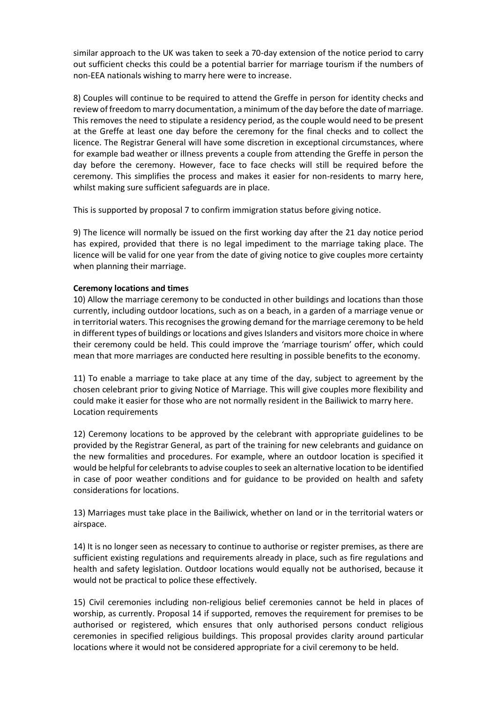similar approach to the UK was taken to seek a 70-day extension of the notice period to carry out sufficient checks this could be a potential barrier for marriage tourism if the numbers of non-EEA nationals wishing to marry here were to increase.

8) Couples will continue to be required to attend the Greffe in person for identity checks and review of freedom to marry documentation, a minimum of the day before the date of marriage. This removes the need to stipulate a residency period, as the couple would need to be present at the Greffe at least one day before the ceremony for the final checks and to collect the licence. The Registrar General will have some discretion in exceptional circumstances, where for example bad weather or illness prevents a couple from attending the Greffe in person the day before the ceremony. However, face to face checks will still be required before the ceremony. This simplifies the process and makes it easier for non-residents to marry here, whilst making sure sufficient safeguards are in place.

This is supported by proposal 7 to confirm immigration status before giving notice.

9) The licence will normally be issued on the first working day after the 21 day notice period has expired, provided that there is no legal impediment to the marriage taking place. The licence will be valid for one year from the date of giving notice to give couples more certainty when planning their marriage.

# **Ceremony locations and times**

10) Allow the marriage ceremony to be conducted in other buildings and locations than those currently, including outdoor locations, such as on a beach, in a garden of a marriage venue or in territorial waters. This recognises the growing demand for the marriage ceremony to be held in different types of buildings or locations and gives Islanders and visitors more choice in where their ceremony could be held. This could improve the 'marriage tourism' offer, which could mean that more marriages are conducted here resulting in possible benefits to the economy.

11) To enable a marriage to take place at any time of the day, subject to agreement by the chosen celebrant prior to giving Notice of Marriage. This will give couples more flexibility and could make it easier for those who are not normally resident in the Bailiwick to marry here. Location requirements

12) Ceremony locations to be approved by the celebrant with appropriate guidelines to be provided by the Registrar General, as part of the training for new celebrants and guidance on the new formalities and procedures. For example, where an outdoor location is specified it would be helpful for celebrants to advise couples to seek an alternative location to be identified in case of poor weather conditions and for guidance to be provided on health and safety considerations for locations.

13) Marriages must take place in the Bailiwick, whether on land or in the territorial waters or airspace.

14) It is no longer seen as necessary to continue to authorise or register premises, as there are sufficient existing regulations and requirements already in place, such as fire regulations and health and safety legislation. Outdoor locations would equally not be authorised, because it would not be practical to police these effectively.

15) Civil ceremonies including non-religious belief ceremonies cannot be held in places of worship, as currently. Proposal 14 if supported, removes the requirement for premises to be authorised or registered, which ensures that only authorised persons conduct religious ceremonies in specified religious buildings. This proposal provides clarity around particular locations where it would not be considered appropriate for a civil ceremony to be held.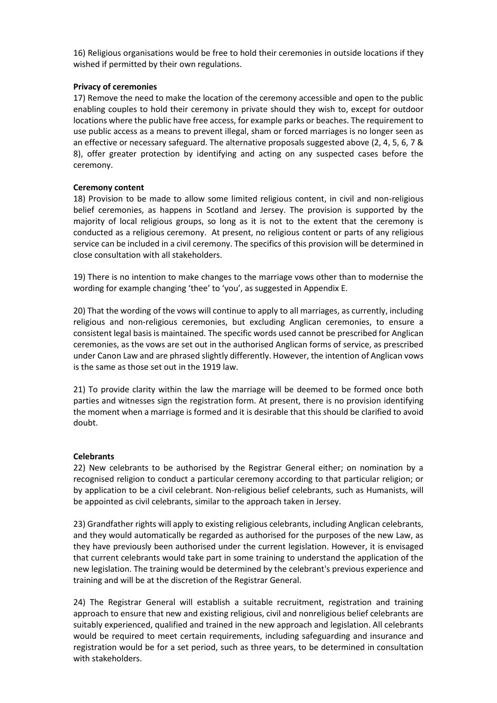16) Religious organisations would be free to hold their ceremonies in outside locations if they wished if permitted by their own regulations.

### **Privacy of ceremonies**

17) Remove the need to make the location of the ceremony accessible and open to the public enabling couples to hold their ceremony in private should they wish to, except for outdoor locations where the public have free access, for example parks or beaches. The requirement to use public access as a means to prevent illegal, sham or forced marriages is no longer seen as an effective or necessary safeguard. The alternative proposals suggested above (2, 4, 5, 6, 7 & 8), offer greater protection by identifying and acting on any suspected cases before the ceremony.

# **Ceremony content**

18) Provision to be made to allow some limited religious content, in civil and non-religious belief ceremonies, as happens in Scotland and Jersey. The provision is supported by the majority of local religious groups, so long as it is not to the extent that the ceremony is conducted as a religious ceremony. At present, no religious content or parts of any religious service can be included in a civil ceremony. The specifics of this provision will be determined in close consultation with all stakeholders.

19) There is no intention to make changes to the marriage vows other than to modernise the wording for example changing 'thee' to 'you', as suggested in Appendix E.

20) That the wording of the vows will continue to apply to all marriages, as currently, including religious and non-religious ceremonies, but excluding Anglican ceremonies, to ensure a consistent legal basis is maintained. The specific words used cannot be prescribed for Anglican ceremonies, as the vows are set out in the authorised Anglican forms of service, as prescribed under Canon Law and are phrased slightly differently. However, the intention of Anglican vows is the same as those set out in the 1919 law.

21) To provide clarity within the law the marriage will be deemed to be formed once both parties and witnesses sign the registration form. At present, there is no provision identifying the moment when a marriage is formed and it is desirable that this should be clarified to avoid doubt.

#### **Celebrants**

22) New celebrants to be authorised by the Registrar General either; on nomination by a recognised religion to conduct a particular ceremony according to that particular religion; or by application to be a civil celebrant. Non-religious belief celebrants, such as Humanists, will be appointed as civil celebrants, similar to the approach taken in Jersey.

23) Grandfather rights will apply to existing religious celebrants, including Anglican celebrants, and they would automatically be regarded as authorised for the purposes of the new Law, as they have previously been authorised under the current legislation. However, it is envisaged that current celebrants would take part in some training to understand the application of the new legislation. The training would be determined by the celebrant's previous experience and training and will be at the discretion of the Registrar General.

24) The Registrar General will establish a suitable recruitment, registration and training approach to ensure that new and existing religious, civil and nonreligious belief celebrants are suitably experienced, qualified and trained in the new approach and legislation. All celebrants would be required to meet certain requirements, including safeguarding and insurance and registration would be for a set period, such as three years, to be determined in consultation with stakeholders.